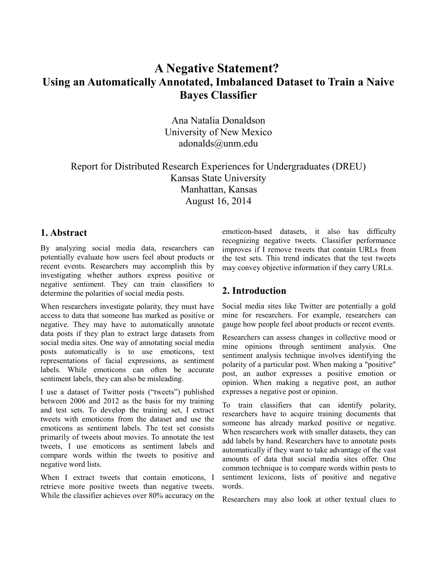# **A Negative Statement? Using an Automatically Annotated, Imbalanced Dataset to Train a Naive Bayes Classifier**

Ana Natalia Donaldson University of New Mexico adonalds@unm.edu

Report for Distributed Research Experiences for Undergraduates (DREU) Kansas State University Manhattan, Kansas August 16, 2014

### **1. Abstract**

By analyzing social media data, researchers can potentially evaluate how users feel about products or recent events. Researchers may accomplish this by investigating whether authors express positive or negative sentiment. They can train classifiers to determine the polarities of social media posts.

When researchers investigate polarity, they must have access to data that someone has marked as positive or negative. They may have to automatically annotate data posts if they plan to extract large datasets from social media sites. One way of annotating social media posts automatically is to use emoticons, text representations of facial expressions, as sentiment labels. While emoticons can often be accurate sentiment labels, they can also be misleading.

I use a dataset of Twitter posts ("tweets") published between 2006 and 2012 as the basis for my training and test sets. To develop the training set, I extract tweets with emoticons from the dataset and use the emoticons as sentiment labels. The test set consists primarily of tweets about movies. To annotate the test tweets, I use emoticons as sentiment labels and compare words within the tweets to positive and negative word lists.

When I extract tweets that contain emoticons, I retrieve more positive tweets than negative tweets. While the classifier achieves over 80% accuracy on the

emoticon-based datasets, it also has difficulty recognizing negative tweets. Classifier performance improves if I remove tweets that contain URLs from the test sets. This trend indicates that the test tweets may convey objective information if they carry URLs.

## **2. Introduction**

Social media sites like Twitter are potentially a gold mine for researchers. For example, researchers can gauge how people feel about products or recent events.

Researchers can assess changes in collective mood or mine opinions through sentiment analysis. One sentiment analysis technique involves identifying the polarity of a particular post. When making a "positive" post, an author expresses a positive emotion or opinion. When making a negative post, an author expresses a negative post or opinion.

To train classifiers that can identify polarity, researchers have to acquire training documents that someone has already marked positive or negative. When researchers work with smaller datasets, they can add labels by hand. Researchers have to annotate posts automatically if they want to take advantage of the vast amounts of data that social media sites offer. One common technique is to compare words within posts to sentiment lexicons, lists of positive and negative words.

Researchers may also look at other textual clues to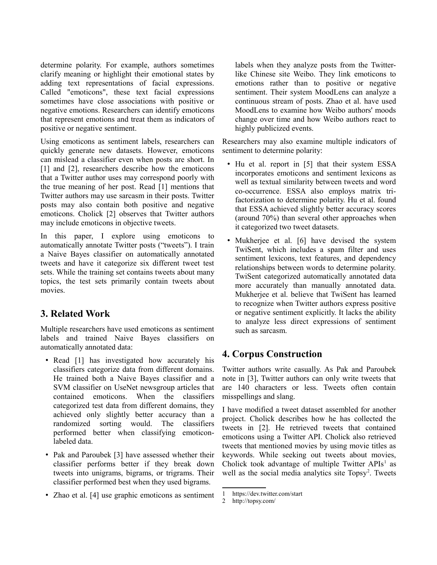determine polarity. For example, authors sometimes clarify meaning or highlight their emotional states by adding text representations of facial expressions. Called "emoticons", these text facial expressions sometimes have close associations with positive or negative emotions. Researchers can identify emoticons that represent emotions and treat them as indicators of positive or negative sentiment.

Using emoticons as sentiment labels, researchers can quickly generate new datasets. However, emoticons can mislead a classifier even when posts are short. In [1] and [2], researchers describe how the emoticons that a Twitter author uses may correspond poorly with the true meaning of her post. Read [1] mentions that Twitter authors may use sarcasm in their posts. Twitter posts may also contain both positive and negative emoticons. Cholick [2] observes that Twitter authors may include emoticons in objective tweets.

In this paper, I explore using emoticons to automatically annotate Twitter posts ("tweets"). I train a Naive Bayes classifier on automatically annotated tweets and have it categorize six different tweet test sets. While the training set contains tweets about many topics, the test sets primarily contain tweets about movies.

## **3. Related Work**

Multiple researchers have used emoticons as sentiment labels and trained Naive Bayes classifiers on automatically annotated data:

- Read [1] has investigated how accurately his classifiers categorize data from different domains. He trained both a Naive Bayes classifier and a SVM classifier on UseNet newsgroup articles that contained emoticons. When the classifiers categorized test data from different domains, they achieved only slightly better accuracy than a randomized sorting would. The classifiers performed better when classifying emoticonlabeled data.
- Pak and Paroubek [3] have assessed whether their classifier performs better if they break down tweets into unigrams, bigrams, or trigrams. Their classifier performed best when they used bigrams.
- Zhao et al. [4] use graphic emoticons as sentiment

labels when they analyze posts from the Twitterlike Chinese site Weibo. They link emoticons to emotions rather than to positive or negative sentiment. Their system MoodLens can analyze a continuous stream of posts. Zhao et al. have used MoodLens to examine how Weibo authors' moods change over time and how Weibo authors react to highly publicized events.

Researchers may also examine multiple indicators of sentiment to determine polarity:

- Hu et al. report in [5] that their system ESSA incorporates emoticons and sentiment lexicons as well as textual similarity between tweets and word co-occurrence. ESSA also employs matrix trifactorization to determine polarity. Hu et al. found that ESSA achieved slightly better accuracy scores (around 70%) than several other approaches when it categorized two tweet datasets.
- Mukherjee et al. [6] have devised the system TwiSent, which includes a spam filter and uses sentiment lexicons, text features, and dependency relationships between words to determine polarity. TwiSent categorized automatically annotated data more accurately than manually annotated data. Mukherjee et al. believe that TwiSent has learned to recognize when Twitter authors express positive or negative sentiment explicitly. It lacks the ability to analyze less direct expressions of sentiment such as sarcasm.

## **4. Corpus Construction**

Twitter authors write casually. As Pak and Paroubek note in [3], Twitter authors can only write tweets that are 140 characters or less. Tweets often contain misspellings and slang.

I have modified a tweet dataset assembled for another project. Cholick describes how he has collected the tweets in [2]. He retrieved tweets that contained emoticons using a Twitter API. Cholick also retrieved tweets that mentioned movies by using movie titles as keywords. While seeking out tweets about movies, Cholick took advantage of multiple Twitter APIs<sup>[1](#page-1-0)</sup> as well as the social media analytics site Topsy<sup>[2](#page-1-1)</sup>. Tweets

<span id="page-1-0"></span><sup>1</sup> https://dev.twitter.com/start

<span id="page-1-1"></span><sup>2</sup> http://topsy.com/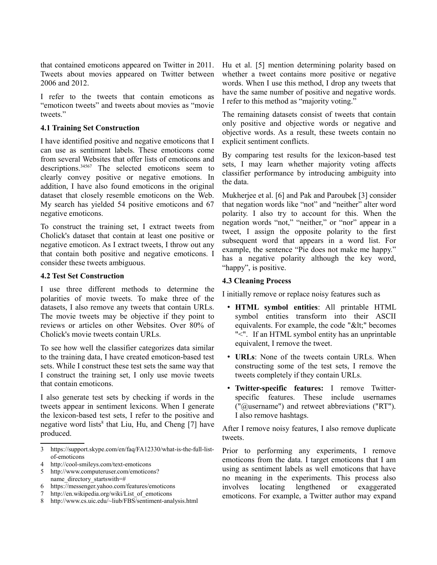that contained emoticons appeared on Twitter in 2011. Tweets about movies appeared on Twitter between 2006 and 2012.

I refer to the tweets that contain emoticons as "emoticon tweets" and tweets about movies as "movie tweets."

#### **4.1 Training Set Construction**

I have identified positive and negative emoticons that I can use as sentiment labels. These emoticons come from several Websites that offer lists of emoticons and descriptions.<sup>[3](#page-2-0)[4](#page-2-1)[5](#page-2-2)[6](#page-2-3)[7](#page-2-4)</sup> The selected emoticons seem to clearly convey positive or negative emotions. In addition, I have also found emoticons in the original dataset that closely resemble emoticons on the Web. My search has yielded 54 positive emoticons and 67 negative emoticons.

To construct the training set, I extract tweets from Cholick's dataset that contain at least one positive or negative emoticon. As I extract tweets, I throw out any that contain both positive and negative emoticons. I consider these tweets ambiguous.

#### **4.2 Test Set Construction**

I use three different methods to determine the polarities of movie tweets. To make three of the datasets, I also remove any tweets that contain URLs. The movie tweets may be objective if they point to reviews or articles on other Websites. Over 80% of Cholick's movie tweets contain URLs.

To see how well the classifier categorizes data similar to the training data, I have created emoticon-based test sets. While I construct these test sets the same way that I construct the training set, I only use movie tweets that contain emoticons.

I also generate test sets by checking if words in the tweets appear in sentiment lexicons. When I generate the lexicon-based test sets, I refer to the positive and negative word lists<sup>[8](#page-2-5)</sup> that Liu, Hu, and Cheng [7] have produced.

- <span id="page-2-3"></span>6 https://messenger.yahoo.com/features/emoticons
- <span id="page-2-4"></span>7 http://en.wikipedia.org/wiki/List\_of\_emoticons
- <span id="page-2-5"></span>8 http://www.cs.uic.edu/~liub/FBS/sentiment-analysis.html

Hu et al. [5] mention determining polarity based on whether a tweet contains more positive or negative words. When I use this method, I drop any tweets that have the same number of positive and negative words. I refer to this method as "majority voting."

The remaining datasets consist of tweets that contain only positive and objective words or negative and objective words. As a result, these tweets contain no explicit sentiment conflicts.

By comparing test results for the lexicon-based test sets, I may learn whether majority voting affects classifier performance by introducing ambiguity into the data.

Mukherjee et al. [6] and Pak and Paroubek [3] consider that negation words like "not" and "neither" alter word polarity. I also try to account for this. When the negation words "not," "neither," or "nor" appear in a tweet, I assign the opposite polarity to the first subsequent word that appears in a word list. For example, the sentence "Pie does not make me happy." has a negative polarity although the key word, "happy", is positive.

#### **4.3 Cleaning Process**

I initially remove or replace noisy features such as

- **HTML symbol entities**: All printable HTML symbol entities transform into their ASCII equivalents. For example, the code " $<$ lt;" becomes "<". If an HTML symbol entity has an unprintable equivalent, I remove the tweet.
- **URLs**: None of the tweets contain URLs. When constructing some of the test sets, I remove the tweets completely if they contain URLs.
- **Twitter-specific features:** I remove Twitterspecific features. These include usernames ("@username") and retweet abbreviations ("RT"). I also remove hashtags.

After I remove noisy features, I also remove duplicate tweets.

Prior to performing any experiments, I remove emoticons from the data. I target emoticons that I am using as sentiment labels as well emoticons that have no meaning in the experiments. This process also involves locating lengthened or exaggerated emoticons. For example, a Twitter author may expand

<span id="page-2-0"></span><sup>3</sup> https://support.skype.com/en/faq/FA12330/what-is-the-full-listof-emoticons

<span id="page-2-1"></span><sup>4</sup> http://cool-smileys.com/text-emoticons

<span id="page-2-2"></span><sup>5</sup> http://www.computeruser.com/emoticons? name\_directory\_startswith=#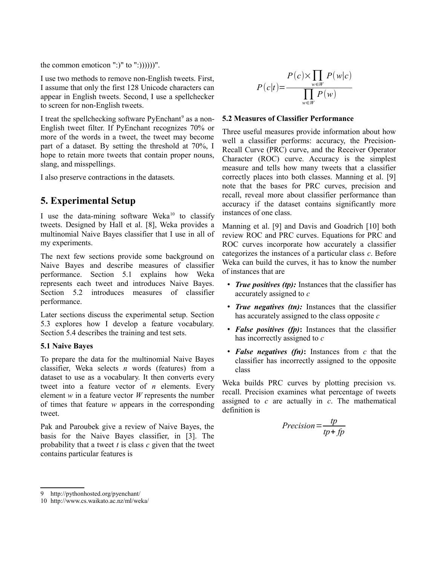the common emoticon ":)" to ":))))))".

I use two methods to remove non-English tweets. First, I assume that only the first 128 Unicode characters can appear in English tweets. Second, I use a spellchecker to screen for non-English tweets.

I treat the spellchecking software PyEnchant<sup>[9](#page-3-0)</sup> as a non-English tweet filter. If PyEnchant recognizes 70% or more of the words in a tweet, the tweet may become part of a dataset. By setting the threshold at 70%, I hope to retain more tweets that contain proper nouns, slang, and misspellings.

I also preserve contractions in the datasets.

## **5. Experimental Setup**

I use the data-mining software Weka<sup>[10](#page-3-1)</sup> to classify tweets. Designed by Hall et al. [8], Weka provides a multinomial Naive Bayes classifier that I use in all of my experiments.

The next few sections provide some background on Naive Bayes and describe measures of classifier performance. Section 5.1 explains how Weka represents each tweet and introduces Naive Bayes. Section 5.2 introduces measures of classifier performance.

Later sections discuss the experimental setup. Section 5.3 explores how I develop a feature vocabulary. Section 5.4 describes the training and test sets.

#### **5.1 Naive Bayes**

To prepare the data for the multinomial Naive Bayes classifier, Weka selects *n* words (features) from a dataset to use as a vocabulary. It then converts every tweet into a feature vector of *n* elements. Every element *w* in a feature vector *W* represents the number of times that feature *w* appears in the corresponding tweet.

Pak and Paroubek give a review of Naive Bayes, the basis for the Naive Bayes classifier, in [3]. The probability that a tweet *t* is class *c* given that the tweet contains particular features is

$$
P(c|t) = \frac{P(c) \times \prod_{w \in W} P(w|c)}{\prod_{w \in W} P(w)}
$$

#### **5.2 Measures of Classifier Performance**

Three useful measures provide information about how well a classifier performs: accuracy, the Precision-Recall Curve (PRC) curve, and the Receiver Operator Character (ROC) curve. Accuracy is the simplest measure and tells how many tweets that a classifier correctly places into both classes. Manning et al. [9] note that the bases for PRC curves, precision and recall, reveal more about classifier performance than accuracy if the dataset contains significantly more instances of one class.

Manning et al. [9] and Davis and Goadrich [10] both review ROC and PRC curves. Equations for PRC and ROC curves incorporate how accurately a classifier categorizes the instances of a particular class *c*. Before Weka can build the curves, it has to know the number of instances that are

- *True positives (tp):* Instances that the classifier has accurately assigned to *c*
- *True negatives (tn):* Instances that the classifier has accurately assigned to the class opposite *c*
- *False positives (fp)***:** Instances that the classifier has incorrectly assigned to *c*
- *False negatives (fn)***:** Instances from *c* that the classifier has incorrectly assigned to the opposite class

Weka builds PRC curves by plotting precision vs. recall. Precision examines what percentage of tweets assigned to *c* are actually in *c*. The mathematical definition is

$$
Precision = \frac{tp}{tp + fp}
$$

<span id="page-3-0"></span><sup>9</sup> http://pythonhosted.org/pyenchant/

<span id="page-3-1"></span><sup>10</sup> http://www.cs.waikato.ac.nz/ml/weka/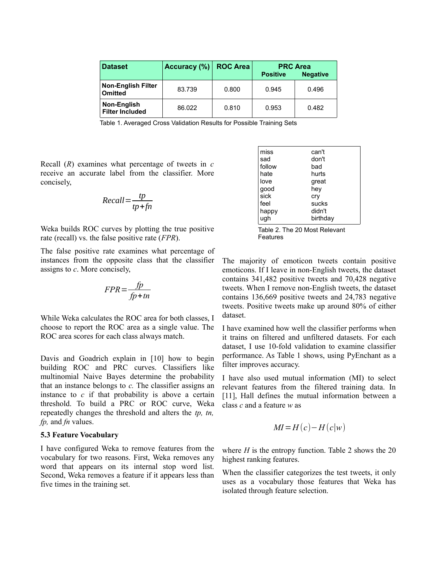| <b>Dataset</b>                              | Accuracy (%) ROC Area |       | <b>PRC Area</b><br><b>Negative</b><br><b>Positive</b> |       |
|---------------------------------------------|-----------------------|-------|-------------------------------------------------------|-------|
| <b>Non-English Filter</b><br><b>Omitted</b> | 83.739                | 0.800 | 0.945                                                 | 0.496 |
| Non-English<br><b>Filter Included</b>       | 86.022                | 0.810 | 0.953                                                 | 0.482 |

Table 1. Averaged Cross Validation Results for Possible Training Sets

Recall (*R*) examines what percentage of tweets in *c* receive an accurate label from the classifier. More concisely,

$$
Recall = \frac{tp}{tp + fn}
$$

Weka builds ROC curves by plotting the true positive rate (recall) vs. the false positive rate (*FPR*).

The false positive rate examines what percentage of instances from the opposite class that the classifier assigns to *c*. More concisely,

$$
FPR = \frac{fp}{fp + tn}
$$

While Weka calculates the ROC area for both classes, I choose to report the ROC area as a single value. The ROC area scores for each class always match.

Davis and Goadrich explain in [10] how to begin building ROC and PRC curves. Classifiers like multinomial Naive Bayes determine the probability that an instance belongs to *c.* The classifier assigns an instance to  $c$  if that probability is above a certain threshold. To build a PRC or ROC curve, Weka repeatedly changes the threshold and alters the *tp, tn, fp,* and *fn* values.

#### **5.3 Feature Vocabulary**

I have configured Weka to remove features from the vocabulary for two reasons. First, Weka removes any word that appears on its internal stop word list. Second, Weka removes a feature if it appears less than five times in the training set.

| miss   | can't    |
|--------|----------|
| sad    | don't    |
| follow | bad      |
| hate   | hurts    |
| love   | great    |
| good   | hey      |
| sick   | cry      |
| feel   | sucks    |
| happy  | didn't   |
| ugh    | birthday |

Table 2. The 20 Most Relevant Features

The majority of emoticon tweets contain positive emoticons. If I leave in non-English tweets, the dataset contains 341,482 positive tweets and 70,428 negative tweets. When I remove non-English tweets, the dataset contains 136,669 positive tweets and 24,783 negative tweets. Positive tweets make up around 80% of either dataset.

I have examined how well the classifier performs when it trains on filtered and unfiltered datasets. For each dataset, I use 10-fold validation to examine classifier performance. As Table 1 shows, using PyEnchant as a filter improves accuracy.

I have also used mutual information (MI) to select relevant features from the filtered training data. In [11], Hall defines the mutual information between a class *c* and a feature *w* as

$$
MI = H(c) - H(c|w)
$$

where  $H$  is the entropy function. Table 2 shows the 20 highest ranking features.

When the classifier categorizes the test tweets, it only uses as a vocabulary those features that Weka has isolated through feature selection.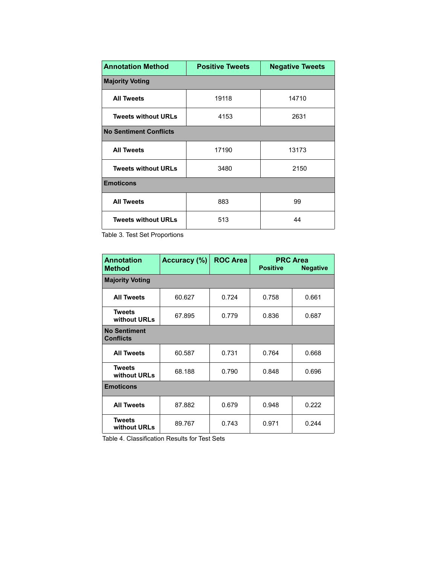| <b>Annotation Method</b>      | <b>Positive Tweets</b> | <b>Negative Tweets</b> |  |  |  |  |
|-------------------------------|------------------------|------------------------|--|--|--|--|
| <b>Majority Voting</b>        |                        |                        |  |  |  |  |
| <b>All Tweets</b>             | 19118                  | 14710                  |  |  |  |  |
| <b>Tweets without URLs</b>    | 4153                   | 2631                   |  |  |  |  |
| <b>No Sentiment Conflicts</b> |                        |                        |  |  |  |  |
| <b>All Tweets</b>             | 17190                  | 13173                  |  |  |  |  |
| <b>Tweets without URLs</b>    | 3480                   | 2150                   |  |  |  |  |
| <b>Emoticons</b>              |                        |                        |  |  |  |  |
| <b>All Tweets</b>             | 883                    | 99                     |  |  |  |  |
| <b>Tweets without URLs</b>    | 513                    | 44                     |  |  |  |  |

Table 3. Test Set Proportions

| <b>Annotation</b><br><b>Method</b>      | Accuracy (%) | <b>ROC Area</b> | <b>PRC Area</b><br><b>Positive</b><br><b>Negative</b> |       |  |  |  |
|-----------------------------------------|--------------|-----------------|-------------------------------------------------------|-------|--|--|--|
| <b>Majority Voting</b>                  |              |                 |                                                       |       |  |  |  |
| <b>All Tweets</b>                       | 60.627       | 0.724           | 0.758                                                 | 0.661 |  |  |  |
| <b>Tweets</b><br>without URLs           | 67.895       | 0.779           | 0.836                                                 | 0.687 |  |  |  |
| <b>No Sentiment</b><br><b>Conflicts</b> |              |                 |                                                       |       |  |  |  |
| <b>All Tweets</b>                       | 60.587       | 0.731           | 0.764                                                 | 0.668 |  |  |  |
| <b>Tweets</b><br>without URLs           | 68.188       | 0.790           | 0.848                                                 | 0.696 |  |  |  |
| <b>Emoticons</b>                        |              |                 |                                                       |       |  |  |  |
| <b>All Tweets</b>                       | 87.882       | 0.679           | 0.948                                                 | 0.222 |  |  |  |
| <b>Tweets</b><br>without URLs           | 89.767       | 0.743           | 0.971                                                 | 0.244 |  |  |  |

Table 4. Classification Results for Test Sets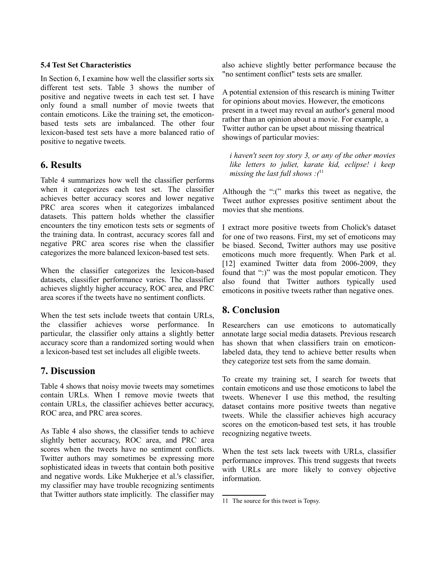#### **5.4 Test Set Characteristics**

In Section 6, I examine how well the classifier sorts six different test sets. Table 3 shows the number of positive and negative tweets in each test set. I have only found a small number of movie tweets that contain emoticons. Like the training set, the emoticonbased tests sets are imbalanced. The other four lexicon-based test sets have a more balanced ratio of positive to negative tweets.

### **6. Results**

Table 4 summarizes how well the classifier performs when it categorizes each test set. The classifier achieves better accuracy scores and lower negative PRC area scores when it categorizes imbalanced datasets. This pattern holds whether the classifier encounters the tiny emoticon tests sets or segments of the training data. In contrast, accuracy scores fall and negative PRC area scores rise when the classifier categorizes the more balanced lexicon-based test sets.

When the classifier categorizes the lexicon-based datasets, classifier performance varies. The classifier achieves slightly higher accuracy, ROC area, and PRC area scores if the tweets have no sentiment conflicts.

When the test sets include tweets that contain URLs, the classifier achieves worse performance. In particular, the classifier only attains a slightly better accuracy score than a randomized sorting would when a lexicon-based test set includes all eligible tweets.

### **7. Discussion**

Table 4 shows that noisy movie tweets may sometimes contain URLs. When I remove movie tweets that contain URLs, the classifier achieves better accuracy, ROC area, and PRC area scores.

As Table 4 also shows, the classifier tends to achieve slightly better accuracy, ROC area, and PRC area scores when the tweets have no sentiment conflicts. Twitter authors may sometimes be expressing more sophisticated ideas in tweets that contain both positive and negative words. Like Mukherjee et al.'s classifier, my classifier may have trouble recognizing sentiments that Twitter authors state implicitly. The classifier may also achieve slightly better performance because the "no sentiment conflict" tests sets are smaller.

A potential extension of this research is mining Twitter for opinions about movies. However, the emoticons present in a tweet may reveal an author's general mood rather than an opinion about a movie. For example, a Twitter author can be upset about missing theatrical showings of particular movies:

*i haven't seen toy story 3, or any of the other movies like letters to juliet, karate kid, eclipse! i keep missing the last full shows :(*[11](#page-6-0)

Although the ":(" marks this tweet as negative, the Tweet author expresses positive sentiment about the movies that she mentions.

I extract more positive tweets from Cholick's dataset for one of two reasons. First, my set of emoticons may be biased. Second, Twitter authors may use positive emoticons much more frequently. When Park et al. [12] examined Twitter data from 2006-2009, they found that ":)" was the most popular emoticon. They also found that Twitter authors typically used emoticons in positive tweets rather than negative ones.

## **8. Conclusion**

Researchers can use emoticons to automatically annotate large social media datasets. Previous research has shown that when classifiers train on emoticonlabeled data, they tend to achieve better results when they categorize test sets from the same domain.

To create my training set, I search for tweets that contain emoticons and use those emoticons to label the tweets. Whenever I use this method, the resulting dataset contains more positive tweets than negative tweets. While the classifier achieves high accuracy scores on the emoticon-based test sets, it has trouble recognizing negative tweets.

When the test sets lack tweets with URLs, classifier performance improves. This trend suggests that tweets with URLs are more likely to convey objective information.

<span id="page-6-0"></span><sup>11</sup> The source for this tweet is Topsy.